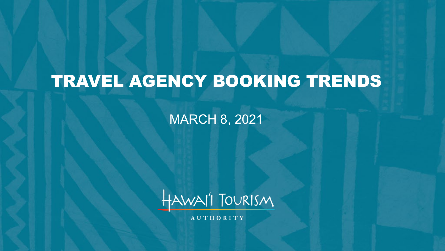# TRAVEL AGENCY BOOKING TRENDS

MARCH 8, 2021



**AUTHORITY**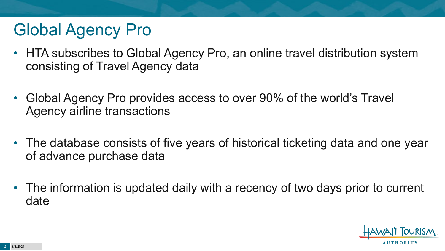# Global Agency Pro

- HTA subscribes to Global Agency Pro, an online travel distribution system consisting of Travel Agency data
- Global Agency Pro provides access to over 90% of the world's Travel Agency airline transactions
- The database consists of five years of historical ticketing data and one year of advance purchase data
- The information is updated daily with a recency of two days prior to current date

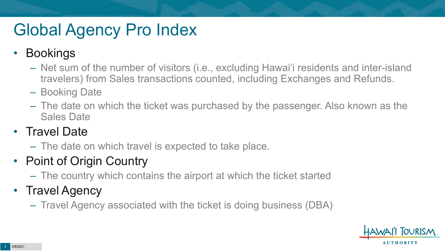# Global Agency Pro Index

### • Bookings

- Net sum of the number of visitors (i.e., excluding Hawai'i residents and inter-island travelers) from Sales transactions counted, including Exchanges and Refunds.
- Booking Date
- The date on which the ticket was purchased by the passenger. Also known as the Sales Date

### • Travel Date

– The date on which travel is expected to take place.

### • Point of Origin Country

– The country which contains the airport at which the ticket started

### • Travel Agency

– Travel Agency associated with the ticket is doing business (DBA)

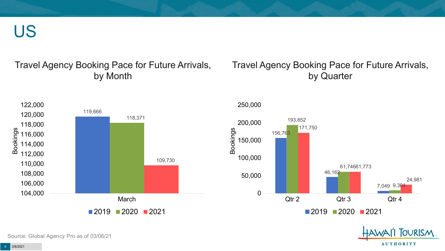US

#### Travel Agency Booking Pace for Future Arrivals, by Month

#### Travel Agency Booking Pace for Future Arrivals, by Quarter



Source: Global Agency Pro as of 03/06/21

**AUTHORITY** 

OURISM.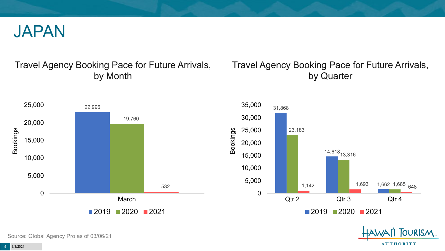

#### Travel Agency Booking Pace for Future Arrivals, by Month

#### Travel Agency Booking Pace for Future Arrivals, by Quarter

**OURISM** 

**AUTHORITY** 



Source: Global Agency Pro as of 03/06/21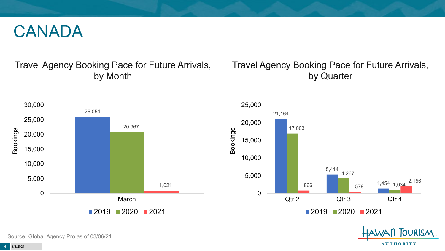## CANADA

#### Travel Agency Booking Pace for Future Arrivals, by Month

#### Travel Agency Booking Pace for Future Arrivals, by Quarter

**FOURISM** 

**AUTHORITY** 



Source: Global Agency Pro as of 03/06/21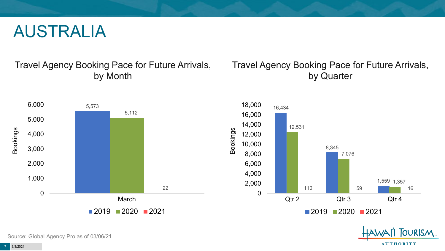## AUSTRALIA

Travel Agency Booking Pace for Future Arrivals, by Month

#### Travel Agency Booking Pace for Future Arrivals, by Quarter





Source: Global Agency Pro as of 03/06/21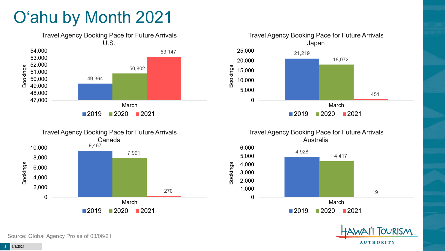# O'ahu by Month 2021









Bookings

 $2019$  2020 2021

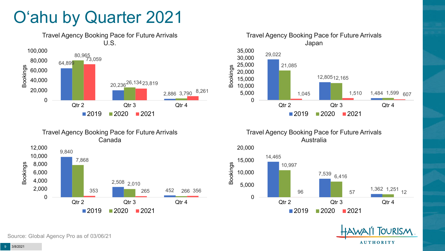# O'ahu by Quarter 2021





Travel Agency Booking Pace for Future Arrivals Australia





9,840 2,508 2,010 7,868 4,000 6,000 8,000 10,000 Bookings

Travel Agency Booking Pace for Future Arrivals Canada

452 353 265 266 356 0 2,000 Qtr 2 Qtr 3 Qtr 4  $2019$  2020 2021

Source: Global Agency Pro as of 03/06/21

12,000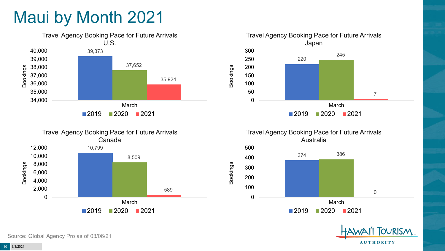# Maui by Month 2021







Travel Agency Booking Pace for Future Arrivals Australia

Bookings





Source: Global Agency Pro as of 03/06/21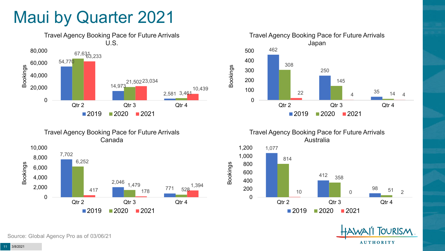## Maui by Quarter 2021





Travel Agency Booking Pace for Future Arrivals Japan 462 250 35 308 145 22 **4** 14 4 0 100 200 300 400 500 Qtr 2 Qtr 3 Qtr 4  $2019$  2020 2021

Bookings

Bookings

Travel Agency Booking Pace for Future Arrivals Australia



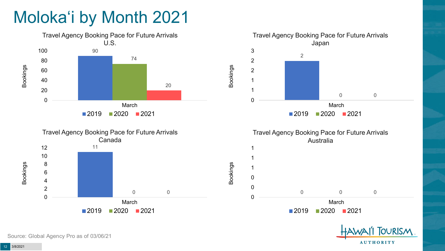# Moloka'i by Month 2021



Source: Global Agency Pro as of 03/06/21

**AUTHORITY**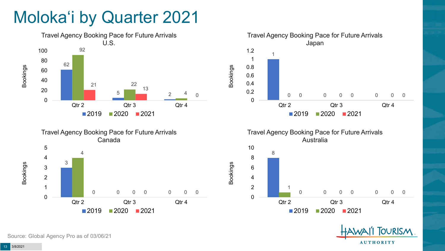# Moloka'i by Quarter 2021











Source: Global Agency Pro as of 03/06/21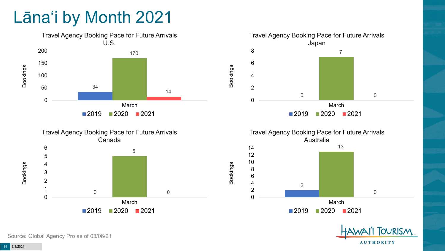# Lāna'i by Month 2021









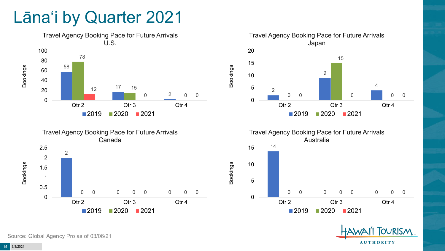## Lāna'i by Quarter 2021









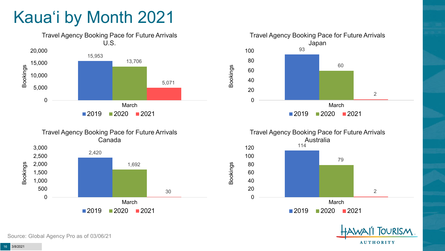# Kaua'i by Month 2021











Source: Global Agency Pro as of 03/06/21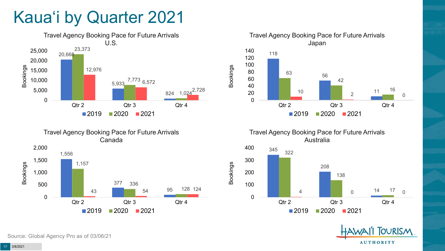# Kaua'i by Quarter 2021







Travel Agency Booking Pace for Future Arrivals Australia

Bookings





Source: Global Agency Pro as of 03/06/21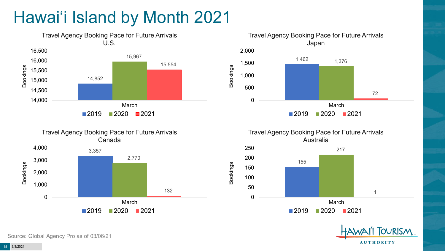# Hawai'i Island by Month 2021











Source: Global Agency Pro as of 03/06/21